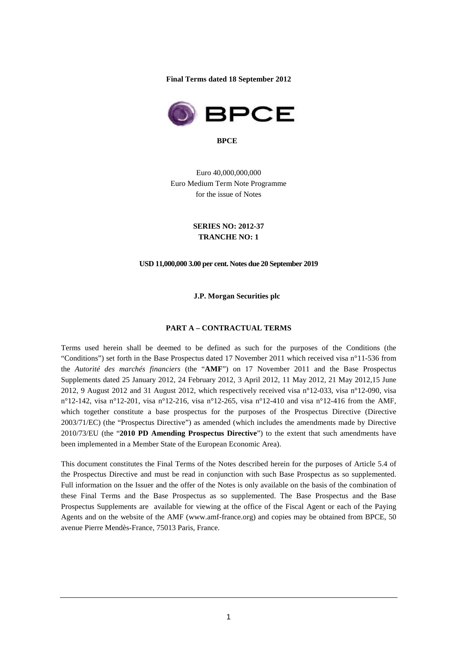**Final Terms dated 18 September 2012** 



**BPCE** 

Euro 40,000,000,000 Euro Medium Term Note Programme for the issue of Notes

> **SERIES NO: 2012-37 TRANCHE NO: 1**

#### **USD 11,000,000 3.00 per cent. Notes due 20 September 2019**

**J.P. Morgan Securities plc** 

#### **PART A – CONTRACTUAL TERMS**

Terms used herein shall be deemed to be defined as such for the purposes of the Conditions (the "Conditions") set forth in the Base Prospectus dated 17 November 2011 which received visa n°11-536 from the *Autorité des marchés financiers* (the "**AMF**") on 17 November 2011 and the Base Prospectus Supplements dated 25 January 2012, 24 February 2012, 3 April 2012, 11 May 2012, 21 May 2012,15 June 2012, 9 August 2012 and 31 August 2012, which respectively received visa n°12-033, visa n°12-090, visa n°12-142, visa n°12-201, visa n°12-216, visa n°12-265, visa n°12-410 and visa n°12-416 from the AMF, which together constitute a base prospectus for the purposes of the Prospectus Directive (Directive 2003/71/EC) (the "Prospectus Directive") as amended (which includes the amendments made by Directive 2010/73/EU (the "**2010 PD Amending Prospectus Directive**") to the extent that such amendments have been implemented in a Member State of the European Economic Area).

This document constitutes the Final Terms of the Notes described herein for the purposes of Article 5.4 of the Prospectus Directive and must be read in conjunction with such Base Prospectus as so supplemented. Full information on the Issuer and the offer of the Notes is only available on the basis of the combination of these Final Terms and the Base Prospectus as so supplemented. The Base Prospectus and the Base Prospectus Supplements are available for viewing at the office of the Fiscal Agent or each of the Paying Agents and on the website of the AMF (www.amf-france.org) and copies may be obtained from BPCE, 50 avenue Pierre Mendès-France, 75013 Paris, France.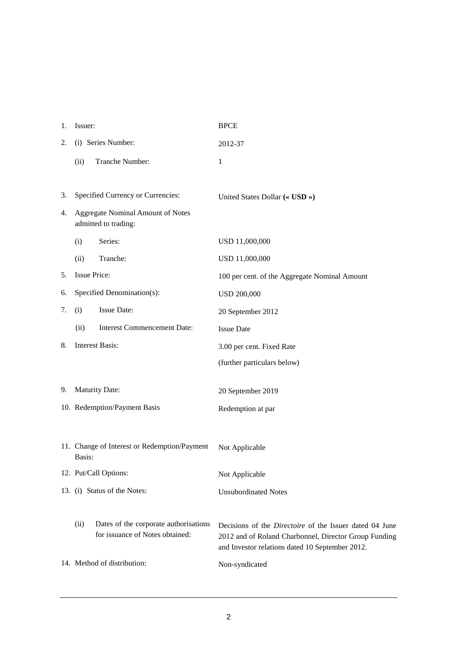| 1. | Issuer:                                                          |                                                                          | <b>BPCE</b>                                                                                                                                                                |  |
|----|------------------------------------------------------------------|--------------------------------------------------------------------------|----------------------------------------------------------------------------------------------------------------------------------------------------------------------------|--|
| 2. |                                                                  | (i) Series Number:                                                       | 2012-37                                                                                                                                                                    |  |
|    | (ii)                                                             | Tranche Number:                                                          | 1                                                                                                                                                                          |  |
|    |                                                                  |                                                                          |                                                                                                                                                                            |  |
| 3. |                                                                  | Specified Currency or Currencies:                                        | United States Dollar (« USD »)                                                                                                                                             |  |
| 4. | <b>Aggregate Nominal Amount of Notes</b><br>admitted to trading: |                                                                          |                                                                                                                                                                            |  |
|    | (i)                                                              | Series:                                                                  | USD 11,000,000                                                                                                                                                             |  |
|    | (ii)                                                             | Tranche:                                                                 | USD 11,000,000                                                                                                                                                             |  |
| 5. | <b>Issue Price:</b>                                              |                                                                          | 100 per cent. of the Aggregate Nominal Amount                                                                                                                              |  |
| 6. | Specified Denomination(s):                                       |                                                                          | <b>USD 200,000</b>                                                                                                                                                         |  |
| 7. | (i)                                                              | Issue Date:                                                              | 20 September 2012                                                                                                                                                          |  |
|    | (ii)                                                             | <b>Interest Commencement Date:</b>                                       | <b>Issue Date</b>                                                                                                                                                          |  |
| 8. |                                                                  | <b>Interest Basis:</b>                                                   | 3.00 per cent. Fixed Rate                                                                                                                                                  |  |
|    |                                                                  |                                                                          | (further particulars below)                                                                                                                                                |  |
| 9. |                                                                  | Maturity Date:                                                           | 20 September 2019                                                                                                                                                          |  |
|    |                                                                  | 10. Redemption/Payment Basis                                             |                                                                                                                                                                            |  |
|    |                                                                  |                                                                          | Redemption at par                                                                                                                                                          |  |
|    |                                                                  |                                                                          |                                                                                                                                                                            |  |
|    | Basis:                                                           | 11. Change of Interest or Redemption/Payment                             | Not Applicable                                                                                                                                                             |  |
|    |                                                                  | 12. Put/Call Options:                                                    | Not Applicable                                                                                                                                                             |  |
|    | 13. (i) Status of the Notes:                                     |                                                                          | <b>Unsubordinated Notes</b>                                                                                                                                                |  |
|    |                                                                  |                                                                          |                                                                                                                                                                            |  |
|    | (ii)                                                             | Dates of the corporate authorisations<br>for issuance of Notes obtained: | Decisions of the <i>Directoire</i> of the Issuer dated 04 June<br>2012 and of Roland Charbonnel, Director Group Funding<br>and Investor relations dated 10 September 2012. |  |
|    |                                                                  | 14. Method of distribution:                                              | Non-syndicated                                                                                                                                                             |  |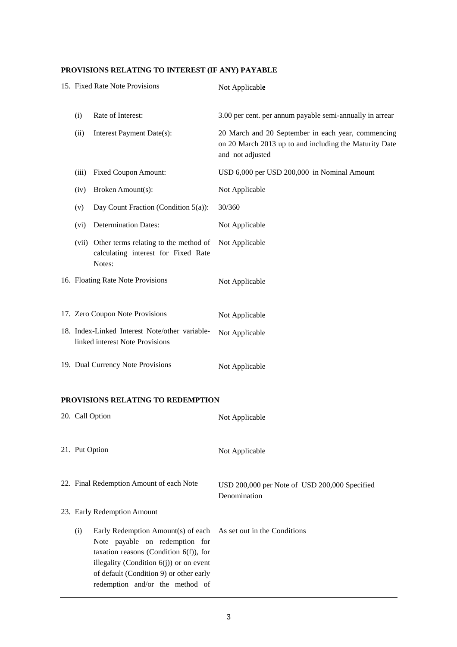# **PROVISIONS RELATING TO INTEREST (IF ANY) PAYABLE**

|  |       | 15. Fixed Rate Note Provisions                                                                                                                                                                             | Not Applicable                                                                                                                   |
|--|-------|------------------------------------------------------------------------------------------------------------------------------------------------------------------------------------------------------------|----------------------------------------------------------------------------------------------------------------------------------|
|  | (i)   | Rate of Interest:                                                                                                                                                                                          | 3.00 per cent. per annum payable semi-annually in arrear                                                                         |
|  | (ii)  | Interest Payment Date(s):                                                                                                                                                                                  | 20 March and 20 September in each year, commencing<br>on 20 March 2013 up to and including the Maturity Date<br>and not adjusted |
|  | (iii) | <b>Fixed Coupon Amount:</b>                                                                                                                                                                                | USD 6,000 per USD 200,000 in Nominal Amount                                                                                      |
|  | (iv)  | Broken Amount(s):                                                                                                                                                                                          | Not Applicable                                                                                                                   |
|  | (v)   | Day Count Fraction (Condition 5(a)):                                                                                                                                                                       | 30/360                                                                                                                           |
|  | (vi)  | <b>Determination Dates:</b>                                                                                                                                                                                | Not Applicable                                                                                                                   |
|  |       | (vii) Other terms relating to the method of<br>calculating interest for Fixed Rate<br>Notes:                                                                                                               | Not Applicable                                                                                                                   |
|  |       | 16. Floating Rate Note Provisions                                                                                                                                                                          | Not Applicable                                                                                                                   |
|  |       | 17. Zero Coupon Note Provisions                                                                                                                                                                            | Not Applicable                                                                                                                   |
|  |       | 18. Index-Linked Interest Note/other variable-<br>linked interest Note Provisions                                                                                                                          | Not Applicable                                                                                                                   |
|  |       | 19. Dual Currency Note Provisions                                                                                                                                                                          | Not Applicable                                                                                                                   |
|  |       | PROVISIONS RELATING TO REDEMPTION                                                                                                                                                                          |                                                                                                                                  |
|  |       | 20. Call Option                                                                                                                                                                                            | Not Applicable                                                                                                                   |
|  |       | 21. Put Option                                                                                                                                                                                             | Not Applicable                                                                                                                   |
|  |       | 22. Final Redemption Amount of each Note                                                                                                                                                                   | USD 200,000 per Note of USD 200,000 Specified<br>Denomination                                                                    |
|  |       | 23. Early Redemption Amount                                                                                                                                                                                |                                                                                                                                  |
|  | (i)   | Early Redemption Amount(s) of each<br>Note payable on redemption for<br>taxation reasons (Condition $6(f)$ ), for<br>illegality (Condition $6(j)$ ) or on event<br>of default (Condition 9) or other early | As set out in the Conditions                                                                                                     |

redemption and/or the method of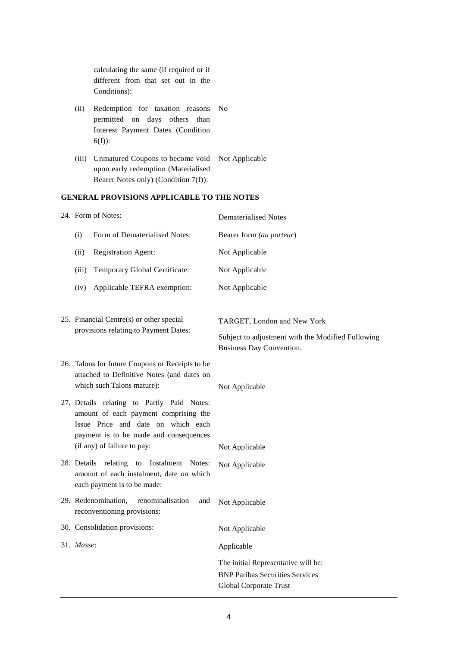calculating the same (if required or if different from that set out in the Conditions):

- (ii) Redemption for taxation reasons No permitted on days others than Interest Payment Dates (Condition 6(f)):
- (iii) Unmatured Coupons to become void Not Applicable upon early redemption (Materialised Bearer Notes only) (Condition 7(f)):

### **GENERAL PROVISIONS APPLICABLE TO THE NOTES**

| 24. Form of Notes:                                                                                                          |                                                                                                                                                                                                    | <b>Dematerialised Notes</b>                                                                                         |  |
|-----------------------------------------------------------------------------------------------------------------------------|----------------------------------------------------------------------------------------------------------------------------------------------------------------------------------------------------|---------------------------------------------------------------------------------------------------------------------|--|
| (i)                                                                                                                         | Form of Dematerialised Notes:                                                                                                                                                                      | Bearer form (au porteur)                                                                                            |  |
| (ii)                                                                                                                        | <b>Registration Agent:</b>                                                                                                                                                                         | Not Applicable                                                                                                      |  |
| (iii)                                                                                                                       | Temporary Global Certificate:                                                                                                                                                                      | Not Applicable                                                                                                      |  |
| (iv)                                                                                                                        | Applicable TEFRA exemption:                                                                                                                                                                        | Not Applicable                                                                                                      |  |
| 25. Financial Centre(s) or other special<br>provisions relating to Payment Dates:                                           |                                                                                                                                                                                                    | TARGET, London and New York<br>Subject to adjustment with the Modified Following<br><b>Business Day Convention.</b> |  |
| 26. Talons for future Coupons or Receipts to be<br>attached to Definitive Notes (and dates on<br>which such Talons mature): |                                                                                                                                                                                                    | Not Applicable                                                                                                      |  |
|                                                                                                                             | 27. Details relating to Partly Paid Notes:<br>amount of each payment comprising the<br>Issue Price and date on which each<br>payment is to be made and consequences<br>(if any) of failure to pay: | Not Applicable                                                                                                      |  |
| 28. Details relating to Instalment Notes:<br>amount of each instalment, date on which<br>each payment is to be made:        |                                                                                                                                                                                                    | Not Applicable                                                                                                      |  |
|                                                                                                                             | 29. Redenomination,<br>renominalisation<br>and<br>reconventioning provisions:                                                                                                                      | Not Applicable                                                                                                      |  |
|                                                                                                                             | 30. Consolidation provisions:                                                                                                                                                                      | Not Applicable                                                                                                      |  |
| 31. Masse:                                                                                                                  |                                                                                                                                                                                                    | Applicable                                                                                                          |  |
|                                                                                                                             |                                                                                                                                                                                                    | The initial Representative will be:<br><b>BNP Paribas Securities Services</b><br>Global Corporate Trust             |  |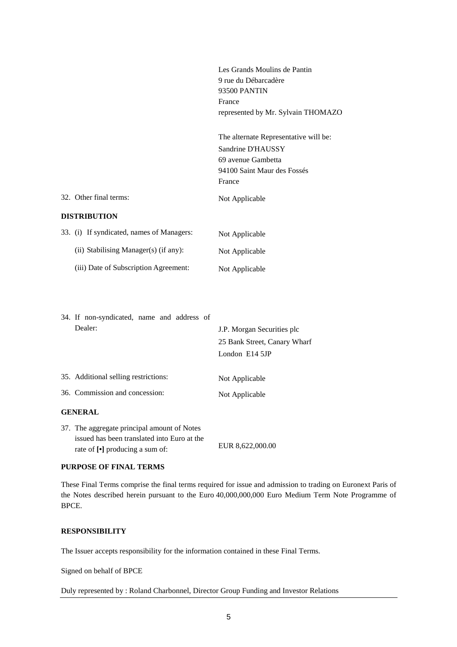|                                                                                            | Les Grands Moulins de Pantin<br>9 rue du Débarcadère<br>93500 PANTIN<br>France<br>represented by Mr. Sylvain THOMAZO      |
|--------------------------------------------------------------------------------------------|---------------------------------------------------------------------------------------------------------------------------|
|                                                                                            | The alternate Representative will be:<br>Sandrine D'HAUSSY<br>69 avenue Gambetta<br>94100 Saint Maur des Fossés<br>France |
| 32. Other final terms:                                                                     | Not Applicable                                                                                                            |
| <b>DISTRIBUTION</b>                                                                        |                                                                                                                           |
| 33. (i) If syndicated, names of Managers:                                                  | Not Applicable                                                                                                            |
| (ii) Stabilising Manager(s) (if any):                                                      | Not Applicable                                                                                                            |
| (iii) Date of Subscription Agreement:                                                      | Not Applicable                                                                                                            |
| 34. If non-syndicated, name and address of<br>Dealer:                                      | J.P. Morgan Securities plc<br>25 Bank Street, Canary Wharf<br>London E14 5JP                                              |
| 35. Additional selling restrictions:                                                       | Not Applicable                                                                                                            |
| 36. Commission and concession:                                                             | Not Applicable                                                                                                            |
| <b>GENERAL</b>                                                                             |                                                                                                                           |
| 37. The aggregate principal amount of Notes<br>issued has been translated into Euro at the |                                                                                                                           |

#### **PURPOSE OF FINAL TERMS**

These Final Terms comprise the final terms required for issue and admission to trading on Euronext Paris of the Notes described herein pursuant to the Euro 40,000,000,000 Euro Medium Term Note Programme of BPCE.

### **RESPONSIBILITY**

The Issuer accepts responsibility for the information contained in these Final Terms.

rate of  $\lceil \cdot \rceil$  producing a sum of: EUR 8,622,000.00

Signed on behalf of BPCE

Duly represented by : Roland Charbonnel, Director Group Funding and Investor Relations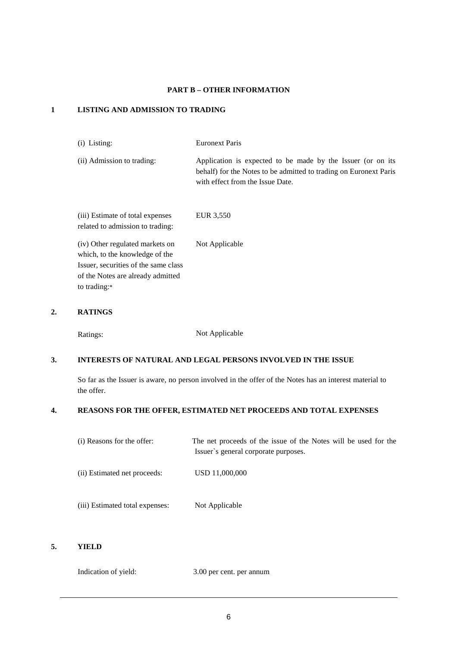# **PART B – OTHER INFORMATION**

### **1 LISTING AND ADMISSION TO TRADING**

(i) Listing: Euronext Paris

(ii) Admission to trading: Application is expected to be made by the Issuer (or on its behalf) for the Notes to be admitted to trading on Euronext Paris with effect from the Issue Date.

| (iii) Estimate of total expenses |  | EUR 3,550      |
|----------------------------------|--|----------------|
| related to admission to trading: |  |                |
| (iv) Other regulated markets on  |  | Not Applicable |
| which, to the knowledge of the   |  |                |
|                                  |  |                |

Issuer, securities of the same class of the Notes are already admitted to trading:\*

# **2. RATINGS**

Ratings: Not Applicable

# **3. INTERESTS OF NATURAL AND LEGAL PERSONS INVOLVED IN THE ISSUE**

So far as the Issuer is aware, no person involved in the offer of the Notes has an interest material to the offer.

# **4. REASONS FOR THE OFFER, ESTIMATED NET PROCEEDS AND TOTAL EXPENSES**

| (i) Reasons for the offer:      | The net proceeds of the issue of the Notes will be used for the<br>Issuer's general corporate purposes. |
|---------------------------------|---------------------------------------------------------------------------------------------------------|
| (ii) Estimated net proceeds:    | USD 11,000,000                                                                                          |
| (iii) Estimated total expenses: | Not Applicable                                                                                          |

## **5. YIELD**

Indication of yield: 3.00 per cent. per annum